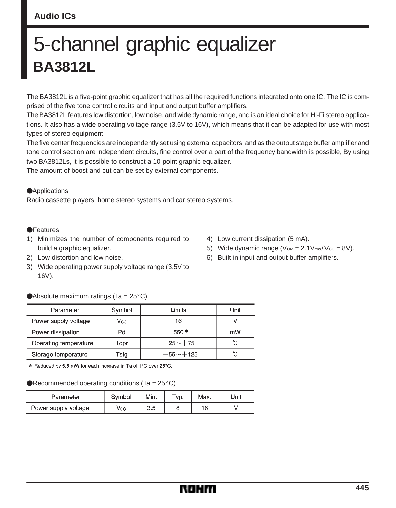### **Audio ICs**

# 5-channel graphic equalizer **BA3812L**

The BA3812L is a five-point graphic equalizer that has all the required functions integrated onto one IC. The IC is comprised of the five tone control circuits and input and output buffer amplifiers.

The BA3812L features low distortion, low noise, and wide dynamic range, and is an ideal choice for Hi-Fi stereo applications. It also has a wide operating voltage range (3.5V to 16V), which means that it can be adapted for use with most types of stereo equipment.

The five center frequencies are independently set using external capacitors, and as the output stage buffer amplifier and tone control section are independent circuits, fine control over a part of the frequency bandwidth is possible, By using two BA3812Ls, it is possible to construct a 10-point graphic equalizer.

The amount of boost and cut can be set by external components.

#### **Applications**

Radio cassette players, home stereo systems and car stereo systems.

#### **•**Features

- 1) Minimizes the number of components required to build a graphic equalizer.
- 2) Low distortion and low noise.
- 3) Wide operating power supply voltage range (3.5V to 16V).

# Absolute maximum ratings (Ta =  $25^{\circ}$ C)

| Parameter             | Symbol | Limits       | Unit |
|-----------------------|--------|--------------|------|
| Power supply voltage  | Vcc.   | 16           |      |
| Power dissipation     | Pd     | $550*$       | mW   |
| Operating temperature | Topr   | $-25 - +75$  | ο°   |
| Storage temperature   | Tstg   | $-55 - +125$ | ົດ   |

\* Reduced by 5.5 mW for each increase in Ta of 1°C over 25°C.

#### Recommended operating conditions (Ta =  $25^{\circ}$ C)

| Parameter            | Symbol            | Min. | TVD. | Max. | 'Jnit |
|----------------------|-------------------|------|------|------|-------|
| Power supply voltage | $\mathsf{V_{CC}}$ | 3.5  |      | 16   |       |

- 4) Low current dissipation (5 mA).
- 5) Wide dynamic range  $(V<sub>OM</sub> = 2.1V<sub>rms</sub>/V<sub>cc</sub> = 8V).$
- 6) Built-in input and output buffer amplifiers.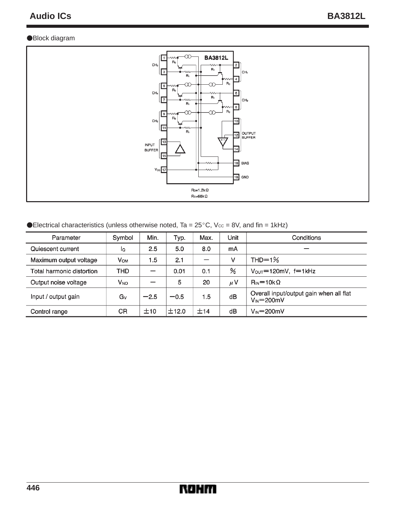#### Block diagram



Electrical characteristics (unless otherwise noted, Ta =  $25^{\circ}$ C, Vcc = 8V, and fin = 1kHz)

| Parameter                 | Symbol                | Min.   | Typ.   | Max. | Unit | Conditions                                                             |
|---------------------------|-----------------------|--------|--------|------|------|------------------------------------------------------------------------|
| Quiescent current         | lQ                    | 2.5    | 5.0    | 8.0  | mA   |                                                                        |
| Maximum output voltage    | <b>V<sub>OM</sub></b> | 1.5    | 2.1    |      | ν    | $THD=1%$                                                               |
| Total harmonic distortion | THD                   |        | 0.01   | 0.1  | ℅    | $V_{\text{OUT}} = 120 \text{mV}$ , f=1kHz                              |
| Output noise voltage      | V <sub>NO</sub>       |        | 5      | 20   | μV   | $R_{\text{IN}} = 10 \text{k} \Omega$                                   |
| Input / output gain       | Gv                    | $-2.5$ | $-0.5$ | 1.5  | dB   | Overall input/output gain when all flat<br>$V_{\text{IN}} = 200$ m $V$ |
| Control range             | CR                    | ±10    | 士12.0  | ±14  | dB   | $V_{\text{IN}} = 200$ m $V$                                            |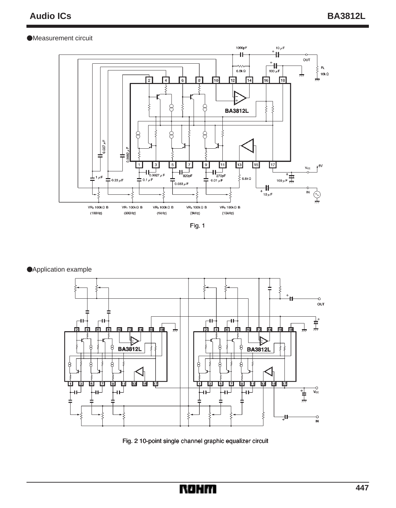#### •Measurement circuit





Application example



Fig. 2 10-point single channel graphic equalizer circuit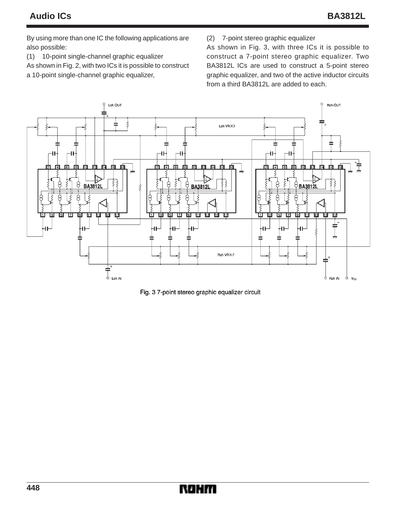By using more than one IC the following applications are also possible:

(1) 10-point single-channel graphic equalizer

As shown in Fig. 2, with two ICs it is possible to construct a 10-point single-channel graphic equalizer,

(2) 7-point stereo graphic equalizer

As shown in Fig. 3, with three ICs it is possible to construct a 7-point stereo graphic equalizer. Two BA3812L ICs are used to construct a 5-point stereo graphic equalizer, and two of the active inductor circuits from a third BA3812L are added to each.



Fig. 3 7-point stereo graphic equalizer circuit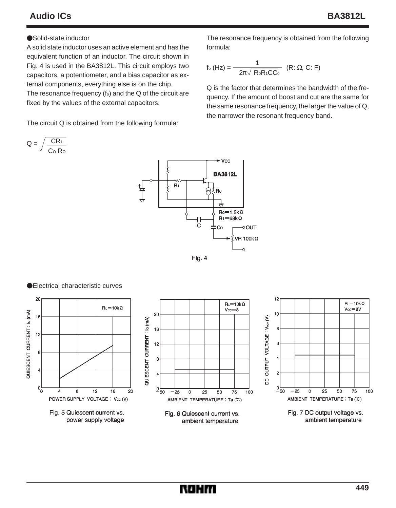## **Audio ICs BA3812L**

#### ●Solid-state inductor

A solid state inductor uses an active element and has the equivalent function of an inductor. The circuit shown in Fig. 4 is used in the BA3812L. This circuit employs two capacitors, a potentiometer, and a bias capacitor as external components, everything else is on the chip. The resonance frequency  $(f<sub>o</sub>)$  and the Q of the circuit are fixed by the values of the external capacitors.

The circuit Q is obtained from the following formula:

The resonance frequency is obtained from the following formula:

$$
f_o(Hz) = \frac{1}{-2\pi\sqrt{ReR_0C_0}} \quad (R: \Omega, C: F)
$$

Q is the factor that determines the bandwidth of the frequency. If the amount of boost and cut are the same for the same resonance frequency, the larger the value of Q, the narrower the resonant frequency band.